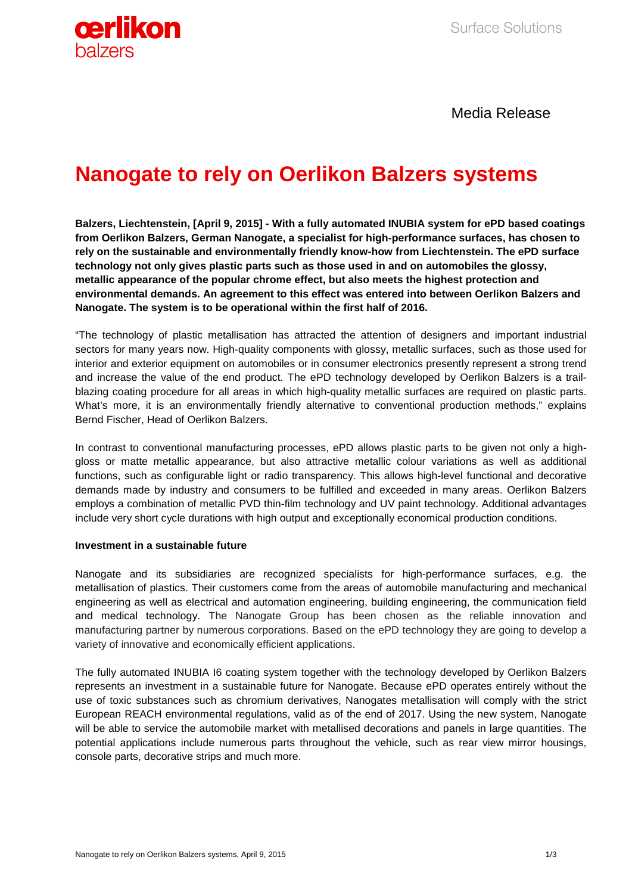

Media Release

## **Nanogate to rely on Oerlikon Balzers systems**

**Balzers, Liechtenstein, [April 9, 2015] - With a fully automated INUBIA system for ePD based coatings from Oerlikon Balzers, German Nanogate, a specialist for high-performance surfaces, has chosen to rely on the sustainable and environmentally friendly know-how from Liechtenstein. The ePD surface technology not only gives plastic parts such as those used in and on automobiles the glossy, metallic appearance of the popular chrome effect, but also meets the highest protection and environmental demands. An agreement to this effect was entered into between Oerlikon Balzers and Nanogate. The system is to be operational within the first half of 2016.**

"The technology of plastic metallisation has attracted the attention of designers and important industrial sectors for many years now. High-quality components with glossy, metallic surfaces, such as those used for interior and exterior equipment on automobiles or in consumer electronics presently represent a strong trend and increase the value of the end product. The ePD technology developed by Oerlikon Balzers is a trailblazing coating procedure for all areas in which high-quality metallic surfaces are required on plastic parts. What's more, it is an environmentally friendly alternative to conventional production methods," explains Bernd Fischer, Head of Oerlikon Balzers.

In contrast to conventional manufacturing processes, ePD allows plastic parts to be given not only a highgloss or matte metallic appearance, but also attractive metallic colour variations as well as additional functions, such as configurable light or radio transparency. This allows high-level functional and decorative demands made by industry and consumers to be fulfilled and exceeded in many areas. Oerlikon Balzers employs a combination of metallic PVD thin-film technology and UV paint technology. Additional advantages include very short cycle durations with high output and exceptionally economical production conditions.

## **Investment in a sustainable future**

Nanogate and its subsidiaries are recognized specialists for high-performance surfaces, e.g. the metallisation of plastics. Their customers come from the areas of automobile manufacturing and mechanical engineering as well as electrical and automation engineering, building engineering, the communication field and medical technology. The Nanogate Group has been chosen as the reliable innovation and manufacturing partner by numerous corporations. Based on the ePD technology they are going to develop a variety of innovative and economically efficient applications.

The fully automated INUBIA I6 coating system together with the technology developed by Oerlikon Balzers represents an investment in a sustainable future for Nanogate. Because ePD operates entirely without the use of toxic substances such as chromium derivatives, Nanogates metallisation will comply with the strict European REACH environmental regulations, valid as of the end of 2017. Using the new system, Nanogate will be able to service the automobile market with metallised decorations and panels in large quantities. The potential applications include numerous parts throughout the vehicle, such as rear view mirror housings, console parts, decorative strips and much more.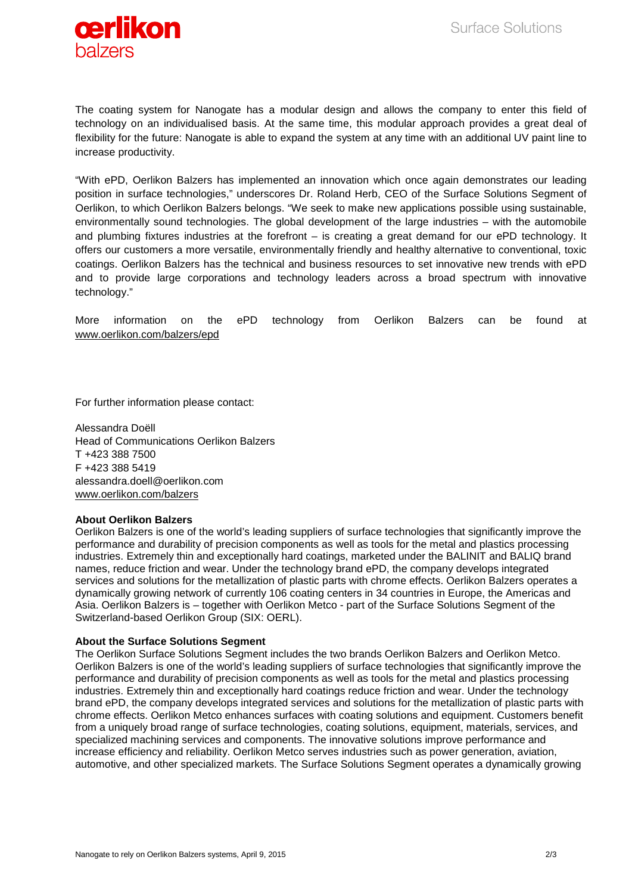

The coating system for Nanogate has a modular design and allows the company to enter this field of technology on an individualised basis. At the same time, this modular approach provides a great deal of flexibility for the future: Nanogate is able to expand the system at any time with an additional UV paint line to increase productivity.

"With ePD, Oerlikon Balzers has implemented an innovation which once again demonstrates our leading position in surface technologies," underscores Dr. Roland Herb, CEO of the Surface Solutions Segment of Oerlikon, to which Oerlikon Balzers belongs. "We seek to make new applications possible using sustainable, environmentally sound technologies. The global development of the large industries – with the automobile and plumbing fixtures industries at the forefront – is creating a great demand for our ePD technology. It offers our customers a more versatile, environmentally friendly and healthy alternative to conventional, toxic coatings. Oerlikon Balzers has the technical and business resources to set innovative new trends with ePD and to provide large corporations and technology leaders across a broad spectrum with innovative technology."

More information on the ePD technology from Oerlikon Balzers can be found at [www.oerlikon.com/balzers/epd](http://www.oerlikon.com/balzers/epd)

For further information please contact:

Alessandra Doëll Head of Communications Oerlikon Balzers T +423 388 7500 F +423 388 5419 alessandra.doell@oerlikon.com [www.oerlikon.com/balzers](http://www.oerlikon.com/balzers)

## **About Oerlikon Balzers**

Oerlikon Balzers is one of the world's leading suppliers of surface technologies that significantly improve the performance and durability of precision components as well as tools for the metal and plastics processing industries. Extremely thin and exceptionally hard coatings, marketed under the BALINIT and BALIQ brand names, reduce friction and wear. Under the technology brand ePD, the company develops integrated services and solutions for the metallization of plastic parts with chrome effects. Oerlikon Balzers operates a dynamically growing network of currently 106 coating centers in 34 countries in Europe, the Americas and Asia. Oerlikon Balzers is – together with Oerlikon Metco - part of the Surface Solutions Segment of the Switzerland-based Oerlikon Group (SIX: OERL).

## **About the Surface Solutions Segment**

The Oerlikon Surface Solutions Segment includes the two brands Oerlikon Balzers and Oerlikon Metco. Oerlikon Balzers is one of the world's leading suppliers of surface technologies that significantly improve the performance and durability of precision components as well as tools for the metal and plastics processing industries. Extremely thin and exceptionally hard coatings reduce friction and wear. Under the technology brand ePD, the company develops integrated services and solutions for the metallization of plastic parts with chrome effects. Oerlikon Metco enhances surfaces with coating solutions and equipment. Customers benefit from a uniquely broad range of surface technologies, coating solutions, equipment, materials, services, and specialized machining services and components. The innovative solutions improve performance and increase efficiency and reliability. Oerlikon Metco serves industries such as power generation, aviation, automotive, and other specialized markets. The Surface Solutions Segment operates a dynamically growing